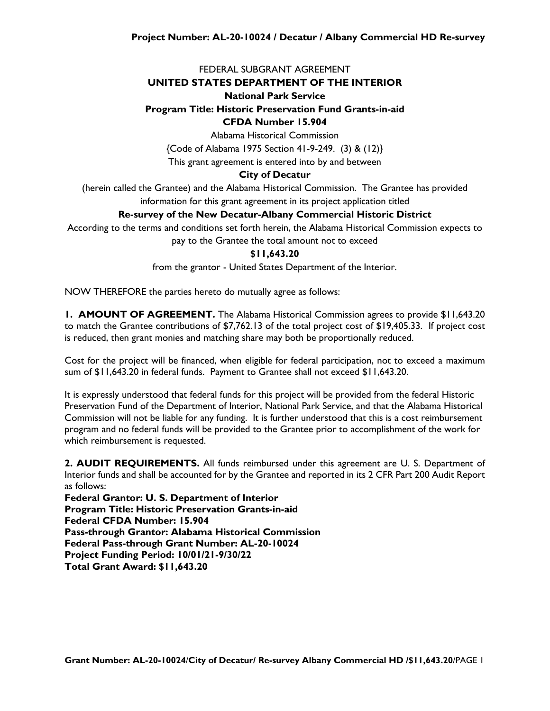## FEDERAL SUBGRANT AGREEMENT

#### **UNITED STATES DEPARTMENT OF THE INTERIOR**

#### **National Park Service**

# **Program Title: Historic Preservation Fund Grants-in-aid**

## **CFDA Number 15.904**

Alabama Historical Commission

{Code of Alabama 1975 Section 41-9-249. (3) & (12)}

This grant agreement is entered into by and between

#### **City of Decatur**

(herein called the Grantee) and the Alabama Historical Commission. The Grantee has provided information for this grant agreement in its project application titled

## **Re-survey of the New Decatur-Albany Commercial Historic District**

According to the terms and conditions set forth herein, the Alabama Historical Commission expects to pay to the Grantee the total amount not to exceed

#### **\$11,643.20**

from the grantor - United States Department of the Interior.

NOW THEREFORE the parties hereto do mutually agree as follows:

**1. AMOUNT OF AGREEMENT.** The Alabama Historical Commission agrees to provide \$11,643.20 to match the Grantee contributions of \$7,762.13 of the total project cost of \$19,405.33. If project cost is reduced, then grant monies and matching share may both be proportionally reduced.

Cost for the project will be financed, when eligible for federal participation, not to exceed a maximum sum of \$11,643.20 in federal funds. Payment to Grantee shall not exceed \$11,643.20.

It is expressly understood that federal funds for this project will be provided from the federal Historic Preservation Fund of the Department of Interior, National Park Service, and that the Alabama Historical Commission will not be liable for any funding. It is further understood that this is a cost reimbursement program and no federal funds will be provided to the Grantee prior to accomplishment of the work for which reimbursement is requested.

**2. AUDIT REQUIREMENTS.** All funds reimbursed under this agreement are U. S. Department of Interior funds and shall be accounted for by the Grantee and reported in its 2 CFR Part 200 Audit Report as follows:

**Federal Grantor: U. S. Department of Interior Program Title: Historic Preservation Grants-in-aid Federal CFDA Number: 15.904 Pass-through Grantor: Alabama Historical Commission Federal Pass-through Grant Number: AL-20-10024 Project Funding Period: 10/01/21-9/30/22 Total Grant Award: \$11,643.20**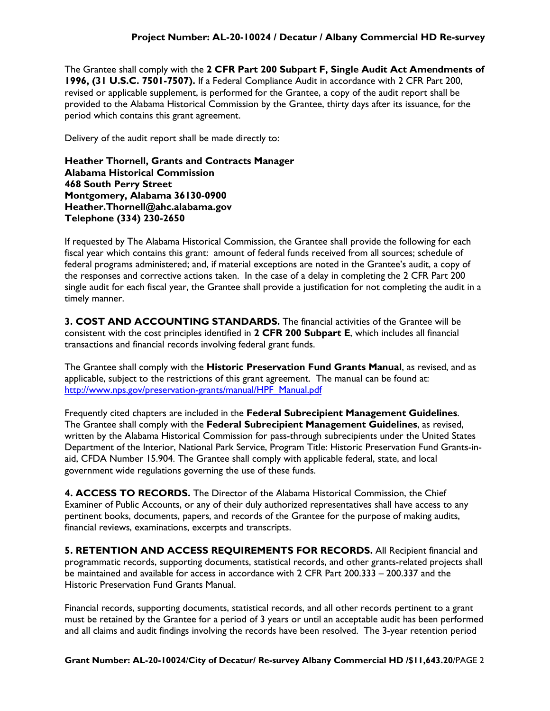The Grantee shall comply with the **2 CFR Part 200 Subpart F, Single Audit Act Amendments of 1996, (31 U.S.C. 7501-7507).** If a Federal Compliance Audit in accordance with 2 CFR Part 200, revised or applicable supplement, is performed for the Grantee, a copy of the audit report shall be provided to the Alabama Historical Commission by the Grantee, thirty days after its issuance, for the period which contains this grant agreement.

Delivery of the audit report shall be made directly to:

**Heather Thornell, Grants and Contracts Manager Alabama Historical Commission 468 South Perry Street Montgomery, Alabama 36130-0900 Heather.Thornell@ahc.alabama.gov Telephone (334) 230-2650**

If requested by The Alabama Historical Commission, the Grantee shall provide the following for each fiscal year which contains this grant: amount of federal funds received from all sources; schedule of federal programs administered; and, if material exceptions are noted in the Grantee's audit, a copy of the responses and corrective actions taken. In the case of a delay in completing the 2 CFR Part 200 single audit for each fiscal year, the Grantee shall provide a justification for not completing the audit in a timely manner.

**3. COST AND ACCOUNTING STANDARDS.** The financial activities of the Grantee will be consistent with the cost principles identified in **2 CFR 200 Subpart E**, which includes all financial transactions and financial records involving federal grant funds.

The Grantee shall comply with the **Historic Preservation Fund Grants Manual**, as revised, and as applicable, subject to the restrictions of this grant agreement. The manual can be found at: [http://www.nps.gov/preservation-grants/manual/HPF\\_Manual.pdf](http://www.nps.gov/preservation-grants/manual/HPF_Manual.pdf)

Frequently cited chapters are included in the **Federal Subrecipient Management Guidelines**. The Grantee shall comply with the **Federal Subrecipient Management Guidelines**, as revised, written by the Alabama Historical Commission for pass-through subrecipients under the United States Department of the Interior, National Park Service, Program Title: Historic Preservation Fund Grants-inaid, CFDA Number 15.904. The Grantee shall comply with applicable federal, state, and local government wide regulations governing the use of these funds.

**4. ACCESS TO RECORDS.** The Director of the Alabama Historical Commission, the Chief Examiner of Public Accounts, or any of their duly authorized representatives shall have access to any pertinent books, documents, papers, and records of the Grantee for the purpose of making audits, financial reviews, examinations, excerpts and transcripts.

**5. RETENTION AND ACCESS REQUIREMENTS FOR RECORDS.** All Recipient financial and programmatic records, supporting documents, statistical records, and other grants-related projects shall be maintained and available for access in accordance with 2 CFR Part 200.333 – 200.337 and the Historic Preservation Fund Grants Manual.

Financial records, supporting documents, statistical records, and all other records pertinent to a grant must be retained by the Grantee for a period of 3 years or until an acceptable audit has been performed and all claims and audit findings involving the records have been resolved. The 3-year retention period

**Grant Number: AL-20-10024**/**City of Decatur/ Re-survey Albany Commercial HD /\$11,643.20**/PAGE 2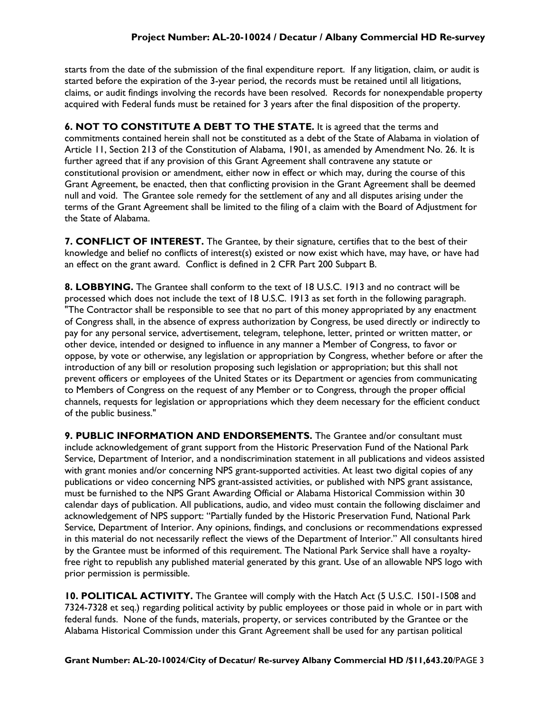starts from the date of the submission of the final expenditure report. If any litigation, claim, or audit is started before the expiration of the 3-year period, the records must be retained until all litigations, claims, or audit findings involving the records have been resolved. Records for nonexpendable property acquired with Federal funds must be retained for 3 years after the final disposition of the property.

**6. NOT TO CONSTITUTE A DEBT TO THE STATE.** It is agreed that the terms and commitments contained herein shall not be constituted as a debt of the State of Alabama in violation of Article 11, Section 213 of the Constitution of Alabama, 1901, as amended by Amendment No. 26. It is further agreed that if any provision of this Grant Agreement shall contravene any statute or constitutional provision or amendment, either now in effect or which may, during the course of this Grant Agreement, be enacted, then that conflicting provision in the Grant Agreement shall be deemed null and void. The Grantee sole remedy for the settlement of any and all disputes arising under the terms of the Grant Agreement shall be limited to the filing of a claim with the Board of Adjustment for the State of Alabama.

**7. CONFLICT OF INTEREST.** The Grantee, by their signature, certifies that to the best of their knowledge and belief no conflicts of interest(s) existed or now exist which have, may have, or have had an effect on the grant award. Conflict is defined in 2 CFR Part 200 Subpart B.

**8. LOBBYING.** The Grantee shall conform to the text of 18 U.S.C. 1913 and no contract will be processed which does not include the text of 18 U.S.C. 1913 as set forth in the following paragraph. "The Contractor shall be responsible to see that no part of this money appropriated by any enactment of Congress shall, in the absence of express authorization by Congress, be used directly or indirectly to pay for any personal service, advertisement, telegram, telephone, letter, printed or written matter, or other device, intended or designed to influence in any manner a Member of Congress, to favor or oppose, by vote or otherwise, any legislation or appropriation by Congress, whether before or after the introduction of any bill or resolution proposing such legislation or appropriation; but this shall not prevent officers or employees of the United States or its Department or agencies from communicating to Members of Congress on the request of any Member or to Congress, through the proper official channels, requests for legislation or appropriations which they deem necessary for the efficient conduct of the public business."

**9. PUBLIC INFORMATION AND ENDORSEMENTS.** The Grantee and/or consultant must include acknowledgement of grant support from the Historic Preservation Fund of the National Park Service, Department of Interior, and a nondiscrimination statement in all publications and videos assisted with grant monies and/or concerning NPS grant-supported activities. At least two digital copies of any publications or video concerning NPS grant-assisted activities, or published with NPS grant assistance, must be furnished to the NPS Grant Awarding Official or Alabama Historical Commission within 30 calendar days of publication. All publications, audio, and video must contain the following disclaimer and acknowledgement of NPS support: "Partially funded by the Historic Preservation Fund, National Park Service, Department of Interior. Any opinions, findings, and conclusions or recommendations expressed in this material do not necessarily reflect the views of the Department of Interior." All consultants hired by the Grantee must be informed of this requirement. The National Park Service shall have a royaltyfree right to republish any published material generated by this grant. Use of an allowable NPS logo with prior permission is permissible.

**10. POLITICAL ACTIVITY.** The Grantee will comply with the Hatch Act (5 U.S.C. 1501-1508 and 7324-7328 et seq.) regarding political activity by public employees or those paid in whole or in part with federal funds. None of the funds, materials, property, or services contributed by the Grantee or the Alabama Historical Commission under this Grant Agreement shall be used for any partisan political

**Grant Number: AL-20-10024**/**City of Decatur/ Re-survey Albany Commercial HD /\$11,643.20**/PAGE 3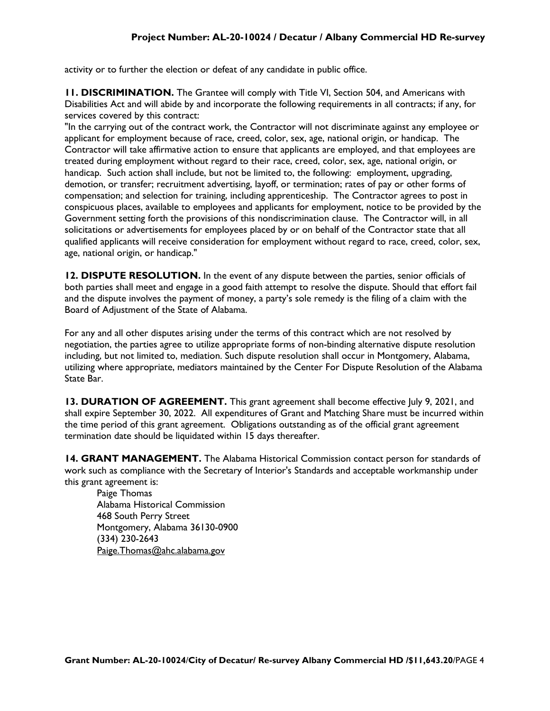activity or to further the election or defeat of any candidate in public office.

**11. DISCRIMINATION.** The Grantee will comply with Title VI, Section 504, and Americans with Disabilities Act and will abide by and incorporate the following requirements in all contracts; if any, for services covered by this contract:

"In the carrying out of the contract work, the Contractor will not discriminate against any employee or applicant for employment because of race, creed, color, sex, age, national origin, or handicap. The Contractor will take affirmative action to ensure that applicants are employed, and that employees are treated during employment without regard to their race, creed, color, sex, age, national origin, or handicap. Such action shall include, but not be limited to, the following: employment, upgrading, demotion, or transfer; recruitment advertising, layoff, or termination; rates of pay or other forms of compensation; and selection for training, including apprenticeship. The Contractor agrees to post in conspicuous places, available to employees and applicants for employment, notice to be provided by the Government setting forth the provisions of this nondiscrimination clause. The Contractor will, in all solicitations or advertisements for employees placed by or on behalf of the Contractor state that all qualified applicants will receive consideration for employment without regard to race, creed, color, sex, age, national origin, or handicap."

**12. DISPUTE RESOLUTION.** In the event of any dispute between the parties, senior officials of both parties shall meet and engage in a good faith attempt to resolve the dispute. Should that effort fail and the dispute involves the payment of money, a party's sole remedy is the filing of a claim with the Board of Adjustment of the State of Alabama.

For any and all other disputes arising under the terms of this contract which are not resolved by negotiation, the parties agree to utilize appropriate forms of non-binding alternative dispute resolution including, but not limited to, mediation. Such dispute resolution shall occur in Montgomery, Alabama, utilizing where appropriate, mediators maintained by the Center For Dispute Resolution of the Alabama State Bar.

**13. DURATION OF AGREEMENT.** This grant agreement shall become effective July 9, 2021, and shall expire September 30, 2022. All expenditures of Grant and Matching Share must be incurred within the time period of this grant agreement. Obligations outstanding as of the official grant agreement termination date should be liquidated within 15 days thereafter.

14. **GRANT MANAGEMENT.** The Alabama Historical Commission contact person for standards of work such as compliance with the Secretary of Interior's Standards and acceptable workmanship under this grant agreement is:

Paige Thomas Alabama Historical Commission 468 South Perry Street Montgomery, Alabama 36130-0900 (334) 230-2643 Paige.Thomas@ahc.alabama.gov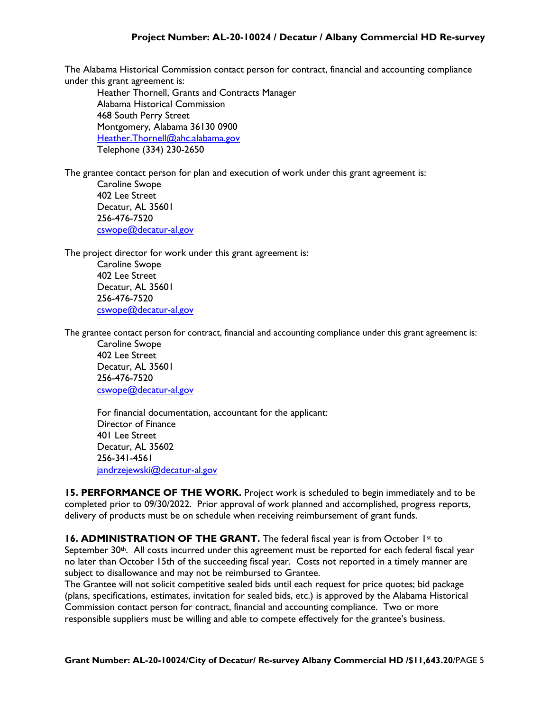The Alabama Historical Commission contact person for contract, financial and accounting compliance under this grant agreement is:

Heather Thornell, Grants and Contracts Manager Alabama Historical Commission 468 South Perry Street Montgomery, Alabama 36130 0900 [Heather.Thornell@ahc.alabama.gov](mailto:Heather.Thornell@ahc.alabama.gov) Telephone (334) 230-2650

The grantee contact person for plan and execution of work under this grant agreement is:

Caroline Swope 402 Lee Street Decatur, AL 35601 256-476-7520 [cswope@decatur-al.gov](mailto:cswope@decatur-al.gov)

The project director for work under this grant agreement is:

Caroline Swope 402 Lee Street Decatur, AL 35601 256-476-7520 [cswope@decatur-al.gov](mailto:cswope@decatur-al.gov)

The grantee contact person for contract, financial and accounting compliance under this grant agreement is:

Caroline Swope 402 Lee Street Decatur, AL 35601 256-476-7520 [cswope@decatur-al.gov](mailto:cswope@decatur-al.gov)

For financial documentation, accountant for the applicant: Director of Finance 401 Lee Street Decatur, AL 35602 256-341-4561 [jandrzejewski@decatur-al.gov](mailto:jandrzejewski@decatur-al.gov)

**15. PERFORMANCE OF THE WORK.** Project work is scheduled to begin immediately and to be completed prior to 09/30/2022. Prior approval of work planned and accomplished, progress reports, delivery of products must be on schedule when receiving reimbursement of grant funds.

**16. ADMINISTRATION OF THE GRANT.** The federal fiscal year is from October 1st to September 30<sup>th</sup>. All costs incurred under this agreement must be reported for each federal fiscal year no later than October 15th of the succeeding fiscal year. Costs not reported in a timely manner are subject to disallowance and may not be reimbursed to Grantee.

The Grantee will not solicit competitive sealed bids until each request for price quotes; bid package (plans, specifications, estimates, invitation for sealed bids, etc.) is approved by the Alabama Historical Commission contact person for contract, financial and accounting compliance. Two or more responsible suppliers must be willing and able to compete effectively for the grantee's business.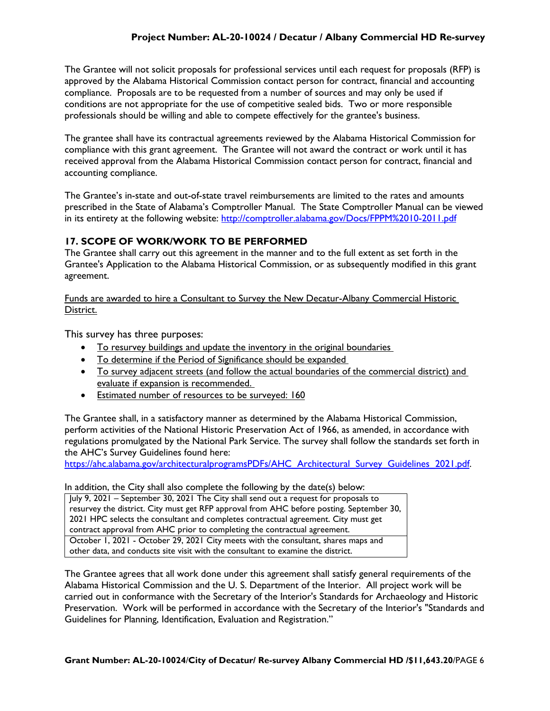The Grantee will not solicit proposals for professional services until each request for proposals (RFP) is approved by the Alabama Historical Commission contact person for contract, financial and accounting compliance. Proposals are to be requested from a number of sources and may only be used if conditions are not appropriate for the use of competitive sealed bids. Two or more responsible professionals should be willing and able to compete effectively for the grantee's business.

The grantee shall have its contractual agreements reviewed by the Alabama Historical Commission for compliance with this grant agreement. The Grantee will not award the contract or work until it has received approval from the Alabama Historical Commission contact person for contract, financial and accounting compliance.

The Grantee's in-state and out-of-state travel reimbursements are limited to the rates and amounts prescribed in the State of Alabama's Comptroller Manual. The State Comptroller Manual can be viewed in its entirety at the following website: <http://comptroller.alabama.gov/Docs/FPPM%2010-2011.pdf>

## **17. SCOPE OF WORK/WORK TO BE PERFORMED**

The Grantee shall carry out this agreement in the manner and to the full extent as set forth in the Grantee's Application to the Alabama Historical Commission, or as subsequently modified in this grant agreement.

Funds are awarded to hire a Consultant to Survey the New Decatur-Albany Commercial Historic District.

This survey has three purposes:

- To resurvey buildings and update the inventory in the original boundaries
- To determine if the Period of Significance should be expanded
- To survey adjacent streets (and follow the actual boundaries of the commercial district) and evaluate if expansion is recommended.
- Estimated number of resources to be surveyed: 160

The Grantee shall, in a satisfactory manner as determined by the Alabama Historical Commission, perform activities of the National Historic Preservation Act of 1966, as amended, in accordance with regulations promulgated by the National Park Service. The survey shall follow the standards set forth in the AHC's Survey Guidelines found here:

[https://ahc.alabama.gov/architecturalprogramsPDFs/AHC\\_Architectural\\_Survey\\_Guidelines\\_2021.pdf.](https://ahc.alabama.gov/architecturalprogramsPDFs/AHC_Architectural_Survey_Guidelines_2021.pdf)

In addition, the City shall also complete the following by the date(s) below:

July 9, 2021 – September 30, 2021 The City shall send out a request for proposals to resurvey the district. City must get RFP approval from AHC before posting. September 30, 2021 HPC selects the consultant and completes contractual agreement. City must get contract approval from AHC prior to completing the contractual agreement. October 1, 2021 - October 29, 2021 City meets with the consultant, shares maps and other data, and conducts site visit with the consultant to examine the district.

The Grantee agrees that all work done under this agreement shall satisfy general requirements of the Alabama Historical Commission and the U. S. Department of the Interior. All project work will be carried out in conformance with the Secretary of the Interior's Standards for Archaeology and Historic Preservation. Work will be performed in accordance with the Secretary of the Interior's "Standards and Guidelines for Planning, Identification, Evaluation and Registration."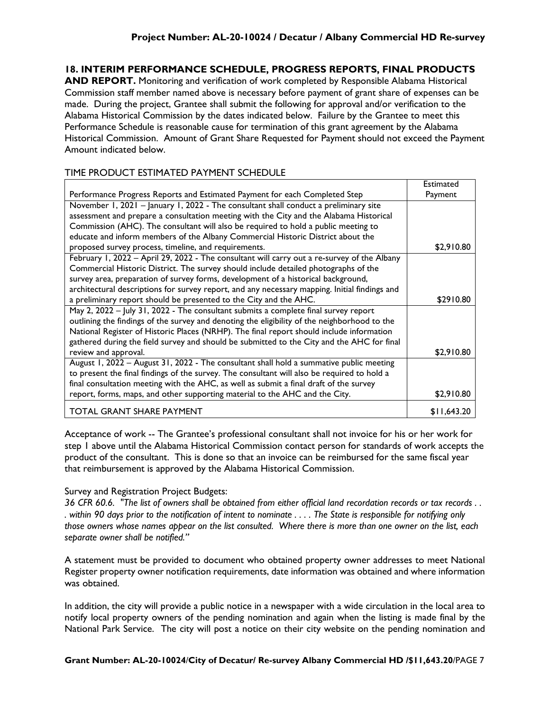# **18. INTERIM PERFORMANCE SCHEDULE, PROGRESS REPORTS, FINAL PRODUCTS**

**AND REPORT.** Monitoring and verification of work completed by Responsible Alabama Historical Commission staff member named above is necessary before payment of grant share of expenses can be made. During the project, Grantee shall submit the following for approval and/or verification to the Alabama Historical Commission by the dates indicated below. Failure by the Grantee to meet this Performance Schedule is reasonable cause for termination of this grant agreement by the Alabama Historical Commission. Amount of Grant Share Requested for Payment should not exceed the Payment Amount indicated below.

## TIME PRODUCT ESTIMATED PAYMENT SCHEDULE

|                                                                                               | <b>Estimated</b> |
|-----------------------------------------------------------------------------------------------|------------------|
| Performance Progress Reports and Estimated Payment for each Completed Step                    | Payment          |
| November 1, 2021 - January 1, 2022 - The consultant shall conduct a preliminary site          |                  |
| assessment and prepare a consultation meeting with the City and the Alabama Historical        |                  |
| Commission (AHC). The consultant will also be required to hold a public meeting to            |                  |
| educate and inform members of the Albany Commercial Historic District about the               |                  |
| proposed survey process, timeline, and requirements.                                          | \$2,910.80       |
| February 1, 2022 - April 29, 2022 - The consultant will carry out a re-survey of the Albany   |                  |
| Commercial Historic District. The survey should include detailed photographs of the           |                  |
| survey area, preparation of survey forms, development of a historical background,             |                  |
| architectural descriptions for survey report, and any necessary mapping. Initial findings and |                  |
| a preliminary report should be presented to the City and the AHC.                             | \$2910.80        |
| May 2, 2022 - July 31, 2022 - The consultant submits a complete final survey report           |                  |
| outlining the findings of the survey and denoting the eligibility of the neighborhood to the  |                  |
| National Register of Historic Places (NRHP). The final report should include information      |                  |
| gathered during the field survey and should be submitted to the City and the AHC for final    |                  |
| review and approval.                                                                          | \$2,910.80       |
| August 1, 2022 - August 31, 2022 - The consultant shall hold a summative public meeting       |                  |
| to present the final findings of the survey. The consultant will also be required to hold a   |                  |
| final consultation meeting with the AHC, as well as submit a final draft of the survey        |                  |
| report, forms, maps, and other supporting material to the AHC and the City.                   | \$2,910.80       |
| TOTAL GRANT SHARE PAYMENT                                                                     | \$11,643.20      |

Acceptance of work -- The Grantee's professional consultant shall not invoice for his or her work for step 1 above until the Alabama Historical Commission contact person for standards of work accepts the product of the consultant. This is done so that an invoice can be reimbursed for the same fiscal year that reimbursement is approved by the Alabama Historical Commission.

#### Survey and Registration Project Budgets:

*36 CFR 60.6. "The list of owners shall be obtained from either official land recordation records or tax records . . . within 90 days prior to the notification of intent to nominate . . . . The State is responsible for notifying only those owners whose names appear on the list consulted. Where there is more than one owner on the list, each separate owner shall be notified."*

A statement must be provided to document who obtained property owner addresses to meet National Register property owner notification requirements, date information was obtained and where information was obtained.

In addition, the city will provide a public notice in a newspaper with a wide circulation in the local area to notify local property owners of the pending nomination and again when the listing is made final by the National Park Service. The city will post a notice on their city website on the pending nomination and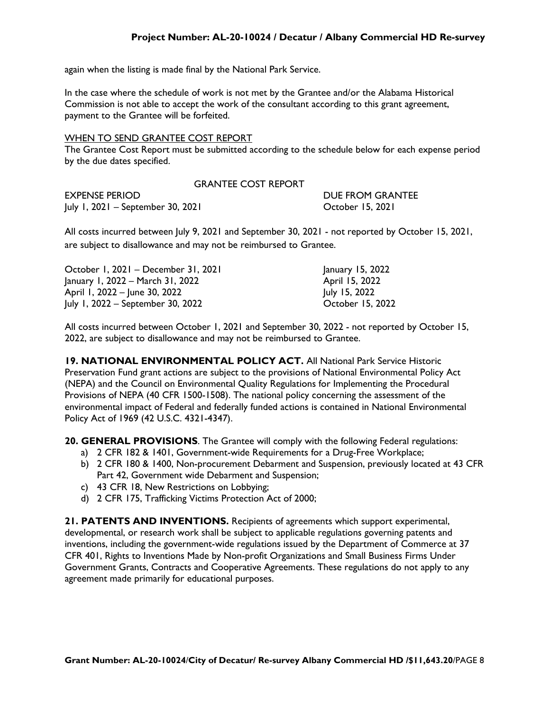again when the listing is made final by the National Park Service.

In the case where the schedule of work is not met by the Grantee and/or the Alabama Historical Commission is not able to accept the work of the consultant according to this grant agreement, payment to the Grantee will be forfeited.

#### WHEN TO SEND GRANTEE COST REPORT

The Grantee Cost Report must be submitted according to the schedule below for each expense period by the due dates specified.

| <b>GRANTEE COST REPORT</b>        |                  |
|-----------------------------------|------------------|
| EXPENSE PERIOD                    | DUE FROM GRANTEE |
| July 1, 2021 – September 30, 2021 | October 15, 2021 |

All costs incurred between July 9, 2021 and September 30, 2021 - not reported by October 15, 2021, are subject to disallowance and may not be reimbursed to Grantee.

| October 1, 2021 - December 31, 2021 | January 15, 2022 |
|-------------------------------------|------------------|
| January 1, 2022 – March 31, 2022    | April 15, 2022   |
| April 1, 2022 - June 30, 2022       | July 15, 2022    |
| July 1, 2022 – September 30, 2022   | October 15, 2022 |

All costs incurred between October 1, 2021 and September 30, 2022 - not reported by October 15, 2022, are subject to disallowance and may not be reimbursed to Grantee.

**19. NATIONAL ENVIRONMENTAL POLICY ACT.** All National Park Service Historic Preservation Fund grant actions are subject to the provisions of National Environmental Policy Act (NEPA) and the Council on Environmental Quality Regulations for Implementing the Procedural Provisions of NEPA (40 CFR 1500-1508). The national policy concerning the assessment of the environmental impact of Federal and federally funded actions is contained in National Environmental Policy Act of 1969 (42 U.S.C. 4321-4347).

**20. GENERAL PROVISIONS**. The Grantee will comply with the following Federal regulations:

- a) 2 CFR 182 & 1401, Government-wide Requirements for a Drug-Free Workplace;
- b) 2 CFR 180 & 1400, Non-procurement Debarment and Suspension, previously located at 43 CFR Part 42, Government wide Debarment and Suspension;
- c) 43 CFR 18, New Restrictions on Lobbying;
- d) 2 CFR 175, Trafficking Victims Protection Act of 2000;

**21. PATENTS AND INVENTIONS.** Recipients of agreements which support experimental, developmental, or research work shall be subject to applicable regulations governing patents and inventions, including the government-wide regulations issued by the Department of Commerce at 37 CFR 401, Rights to Inventions Made by Non-profit Organizations and Small Business Firms Under Government Grants, Contracts and Cooperative Agreements. These regulations do not apply to any agreement made primarily for educational purposes.